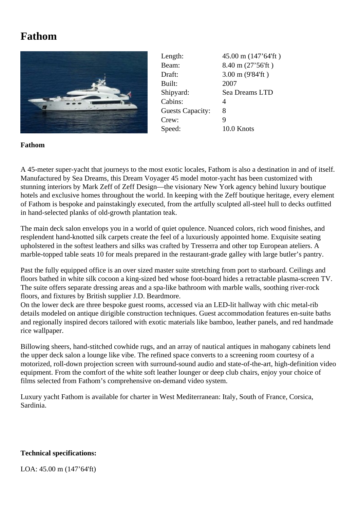## **Fathom**



| Length:                 | 45.00 m (147'64'ft) |
|-------------------------|---------------------|
| Beam:                   | 8.40 m (27'56'ft)   |
| Draft:                  | 3.00 m (9'84'ft)    |
| Built:                  | 2007                |
| Shipyard:               | Sea Dreams LTD      |
| Cabins:                 | 4                   |
| <b>Guests Capacity:</b> | 8                   |
| Crew:                   | 9                   |
| Speed:                  | 10.0 Knots          |

## **Fathom**

A 45-meter super-yacht that journeys to the most exotic locales, Fathom is also a destination in and of itself. Manufactured by Sea Dreams, this Dream Voyager 45 model motor-yacht has been customized with stunning interiors by Mark Zeff of Zeff Design—the visionary New York agency behind luxury boutique hotels and exclusive homes throughout the world. In keeping with the Zeff boutique heritage, every element of Fathom is bespoke and painstakingly executed, from the artfully sculpted all-steel hull to decks outfitted in hand-selected planks of old-growth plantation teak.

The main deck salon envelops you in a world of quiet opulence. Nuanced colors, rich wood finishes, and resplendent hand-knotted silk carpets create the feel of a luxuriously appointed home. Exquisite seating upholstered in the softest leathers and silks was crafted by Tresserra and other top European ateliers. A marble-topped table seats 10 for meals prepared in the restaurant-grade galley with large butler's pantry.

Past the fully equipped office is an over sized master suite stretching from port to starboard. Ceilings and floors bathed in white silk cocoon a king-sized bed whose foot-board hides a retractable plasma-screen TV. The suite offers separate dressing areas and a spa-like bathroom with marble walls, soothing river-rock floors, and fixtures by British supplier J.D. Beardmore.

On the lower deck are three bespoke guest rooms, accessed via an LED-lit hallway with chic metal-rib details modeled on antique dirigible construction techniques. Guest accommodation features en-suite baths and regionally inspired decors tailored with exotic materials like bamboo, leather panels, and red handmade rice wallpaper.

Billowing sheers, hand-stitched cowhide rugs, and an array of nautical antiques in mahogany cabinets lend the upper deck salon a lounge like vibe. The refined space converts to a screening room courtesy of a motorized, roll-down projection screen with surround-sound audio and state-of-the-art, high-definition video equipment. From the comfort of the white soft leather lounger or deep club chairs, enjoy your choice of films selected from Fathom's comprehensive on-demand video system.

Luxury yacht Fathom is available for charter in West Mediterranean: Italy, South of France, Corsica, Sardinia.

## **Technical specifications:**

LOA: 45.00 m (147'64'ft)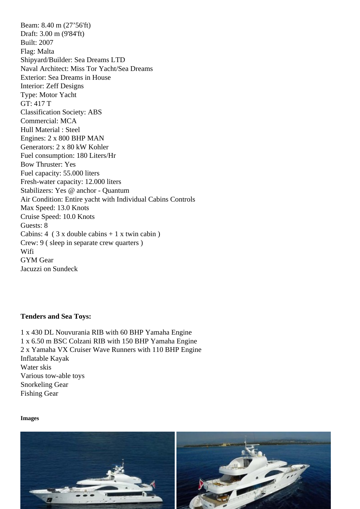Draft: 3.00 m (9'84'ft) Built: 2007 Flag: Malta Shipyard/Builder: Sea Dreams LTD Naval Architect: Miss Tor Yacht/Sea Dreams Exterior: Sea Dreams in House Interior: Zeff Designs Type: Motor Yacht GT: 417 T Classification Society: ABS Commercial: MCA Hull Material : Steel Engines: 2 x 800 BHP MAN Generators: 2 x 80 kW Kohler Fuel consumption: 180 Liters/Hr Bow Thruster: Yes Fuel capacity: 55.000 liters Fresh-water capacity: 12.000 liters Stabilizers: Yes @ anchor - Quantum Air Condition: Entire yacht with Individual Cabins Controls Max Speed: 13.0 Knots Cruise Speed: 10.0 Knots Guests: 8 Cabins:  $4$  (  $3 \times$  double cabins  $+ 1 \times$  twin cabin ) Crew: 9 ( sleep in separate crew quarters ) **Wifi** GYM Gear Jacuzzi on Sundeck

Tenders and Sea Toys:

1 x 430 DL Nouvurania RIB with 60 BHP Yamaha Engine 1 x 6.50 m BSC Colzani RIB with 150 BHP Yamaha Engine 2 x Yamaha VX Cruiser Wave Runners with 110 BHP Engine Inflatable Kayak Water skis Various tow-able toys Snorkeling Gear Fishing Gear

Images